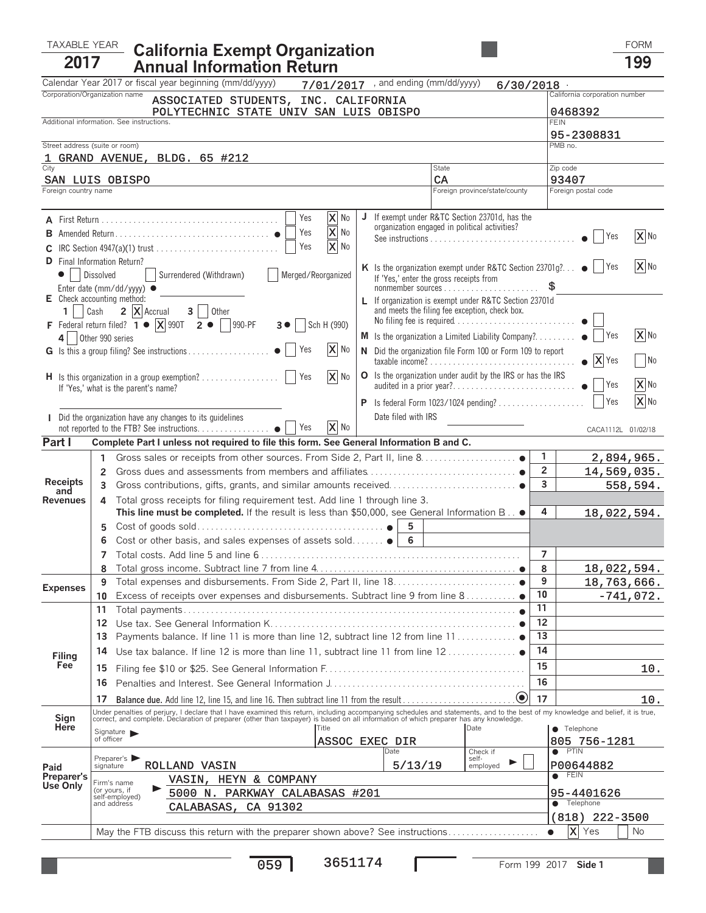## TAXABLE YEAR FORM **California Exempt Organization <sup>2017</sup> Annual Information Return <sup>199</sup>**

|                                        | Calendar Year 2017 or fiscal year beginning (mm/dd/yyyy)                                                                                                                                                                          | $7/01/2017$ , and ending (mm/dd/yyyy)                                | 6/30/2018                                                                                     |                                                                                 |                               |  |  |
|----------------------------------------|-----------------------------------------------------------------------------------------------------------------------------------------------------------------------------------------------------------------------------------|----------------------------------------------------------------------|-----------------------------------------------------------------------------------------------|---------------------------------------------------------------------------------|-------------------------------|--|--|
|                                        | Corporation/Organization name<br>ASSOCIATED STUDENTS, INC. CALIFORNIA                                                                                                                                                             |                                                                      |                                                                                               |                                                                                 | California corporation number |  |  |
| POLYTECHNIC STATE UNIV SAN LUIS OBISPO |                                                                                                                                                                                                                                   |                                                                      |                                                                                               |                                                                                 | 0468392                       |  |  |
|                                        | Additional information. See instructions.                                                                                                                                                                                         |                                                                      |                                                                                               |                                                                                 | <b>FEIN</b>                   |  |  |
| Street address (suite or room)         |                                                                                                                                                                                                                                   |                                                                      |                                                                                               |                                                                                 | 95-2308831<br>PMB no.         |  |  |
|                                        | 1 GRAND AVENUE, BLDG. 65 #212                                                                                                                                                                                                     |                                                                      |                                                                                               |                                                                                 |                               |  |  |
| City                                   |                                                                                                                                                                                                                                   | State                                                                |                                                                                               |                                                                                 | Zip code                      |  |  |
|                                        | SAN LUIS OBISPO                                                                                                                                                                                                                   | CA                                                                   |                                                                                               |                                                                                 | 93407                         |  |  |
| Foreign country name                   |                                                                                                                                                                                                                                   |                                                                      | Foreign province/state/county                                                                 |                                                                                 | Foreign postal code           |  |  |
|                                        |                                                                                                                                                                                                                                   |                                                                      |                                                                                               |                                                                                 |                               |  |  |
|                                        | X No<br>Yes                                                                                                                                                                                                                       | J                                                                    | If exempt under R&TC Section 23701d, has the<br>organization engaged in political activities? |                                                                                 |                               |  |  |
|                                        | lx<br>Yes<br>No                                                                                                                                                                                                                   |                                                                      |                                                                                               | $\overline{\mathbf{X}}$ No<br>$\bullet$     Yes                                 |                               |  |  |
|                                        | X No<br>Yes                                                                                                                                                                                                                       |                                                                      |                                                                                               |                                                                                 |                               |  |  |
|                                        | <b>D</b> Final Information Return?                                                                                                                                                                                                |                                                                      |                                                                                               | X No<br>K Is the organization exempt under R&TC Section 23701g? $\bullet$   Yes |                               |  |  |
|                                        | Surrendered (Withdrawn)<br>Merged/Reorganized<br>Dissolved                                                                                                                                                                        | If 'Yes,' enter the gross receipts from                              |                                                                                               |                                                                                 |                               |  |  |
|                                        | Enter date (mm/dd/yyyy) ●                                                                                                                                                                                                         |                                                                      |                                                                                               |                                                                                 |                               |  |  |
|                                        | E Check accounting method:                                                                                                                                                                                                        |                                                                      | L If organization is exempt under R&TC Section 23701d                                         |                                                                                 |                               |  |  |
|                                        | 1   Cash $2 \mathbf{X}$ Accrual $3 \mid$ Other                                                                                                                                                                                    |                                                                      | and meets the filing fee exception, check box.<br>No filing fee is required                   |                                                                                 |                               |  |  |
|                                        | F Federal return filed? $\overline{1}$ $\bullet$ $\overline{X}$ 990T $\overline{2}$ $\bullet$ $\overline{9}$ 990-PF<br>Sch H (990)<br>3 <sup>o</sup>                                                                              |                                                                      | M Is the organization a Limited Liability Company? •     Yes                                  |                                                                                 | $\mathbf{X}$ No               |  |  |
|                                        | 4 Other 990 series<br>$\mathbf{X}$ No<br>Yes                                                                                                                                                                                      |                                                                      | N Did the organization file Form 100 or Form 109 to report                                    |                                                                                 |                               |  |  |
|                                        |                                                                                                                                                                                                                                   |                                                                      |                                                                                               |                                                                                 | X Yes<br>No                   |  |  |
|                                        | X No<br>If 'Yes,' what is the parent's name?                                                                                                                                                                                      |                                                                      | O Is the organization under audit by the IRS or has the IRS<br>audited in a prior year?       |                                                                                 | X No<br>Yes                   |  |  |
|                                        |                                                                                                                                                                                                                                   |                                                                      | X No                                                                                          |                                                                                 |                               |  |  |
|                                        | <b>I</b> Did the organization have any changes to its guidelines                                                                                                                                                                  | Date filed with IRS                                                  |                                                                                               |                                                                                 |                               |  |  |
|                                        | X No                                                                                                                                                                                                                              |                                                                      |                                                                                               |                                                                                 | CACA1112L 01/02/18            |  |  |
| Part I                                 | Complete Part I unless not required to file this form. See General Information B and C.                                                                                                                                           |                                                                      |                                                                                               |                                                                                 |                               |  |  |
|                                        | 1                                                                                                                                                                                                                                 |                                                                      |                                                                                               | 1                                                                               | 2,894,965.                    |  |  |
|                                        | 2                                                                                                                                                                                                                                 |                                                                      |                                                                                               | $\overline{2}$                                                                  | 14,569,035.                   |  |  |
| <b>Receipts</b>                        | 3                                                                                                                                                                                                                                 |                                                                      |                                                                                               | 3                                                                               | 558,594.                      |  |  |
| and<br><b>Revenues</b>                 | Total gross receipts for filing requirement test. Add line 1 through line 3.<br>4                                                                                                                                                 |                                                                      |                                                                                               |                                                                                 |                               |  |  |
|                                        | This line must be completed. If the result is less than \$50,000, see General Information B .                                                                                                                                     | 4                                                                    | 18,022,594.                                                                                   |                                                                                 |                               |  |  |
|                                        | 5                                                                                                                                                                                                                                 | 5                                                                    |                                                                                               |                                                                                 |                               |  |  |
|                                        | 6                                                                                                                                                                                                                                 | Cost or other basis, and sales expenses of assets sold $\bullet$   6 |                                                                                               |                                                                                 |                               |  |  |
|                                        | 7                                                                                                                                                                                                                                 | $\overline{7}$                                                       |                                                                                               |                                                                                 |                               |  |  |
|                                        | 8                                                                                                                                                                                                                                 | 8                                                                    | 18,022,594.                                                                                   |                                                                                 |                               |  |  |
| <b>Expenses</b>                        | 9                                                                                                                                                                                                                                 |                                                                      |                                                                                               | 9                                                                               | 18,763,666.                   |  |  |
|                                        | 10 Excess of receipts over expenses and disbursements. Subtract line 9 from line 8                                                                                                                                                | $10$                                                                 | $-741,072.$                                                                                   |                                                                                 |                               |  |  |
|                                        | 11<br>Total payments                                                                                                                                                                                                              | 11                                                                   |                                                                                               |                                                                                 |                               |  |  |
|                                        | 12                                                                                                                                                                                                                                | 12                                                                   |                                                                                               |                                                                                 |                               |  |  |
|                                        | Payments balance. If line 11 is more than line 12, subtract line 12 from line 11 ●<br>13                                                                                                                                          |                                                                      |                                                                                               | 13                                                                              |                               |  |  |
| Filing                                 | Use tax balance. If line 12 is more than line 11, subtract line 11 from line $12$<br>14                                                                                                                                           |                                                                      |                                                                                               | 14                                                                              |                               |  |  |
| Fee                                    | 15                                                                                                                                                                                                                                |                                                                      |                                                                                               | 15                                                                              | 10.                           |  |  |
|                                        | 16                                                                                                                                                                                                                                |                                                                      |                                                                                               | 16                                                                              |                               |  |  |
|                                        | 17                                                                                                                                                                                                                                |                                                                      | $\bullet$                                                                                     | 17                                                                              | 10.                           |  |  |
|                                        | Under penalties of perjury, I declare that I have examined this return, including accompanying schedules and statements, and to the best of my knowledge and belief, it is true,<br>correct, and complete. Declaration of prepare |                                                                      |                                                                                               |                                                                                 |                               |  |  |
| Sign<br>Here                           | <b>Title</b>                                                                                                                                                                                                                      |                                                                      | Date                                                                                          |                                                                                 | $\bullet$ Telephone           |  |  |
|                                        | Signature $\blacktriangleright$<br>of officer<br>ASSOC EXEC DIR                                                                                                                                                                   |                                                                      |                                                                                               |                                                                                 | 805 756-1281                  |  |  |
|                                        |                                                                                                                                                                                                                                   | Date                                                                 | Check if                                                                                      |                                                                                 | $\bullet$ PTIN                |  |  |
| Paid                                   | Preparer's<br>ROLLAND VASIN<br>signature                                                                                                                                                                                          | 5/13/19                                                              | self-<br>employed                                                                             |                                                                                 | P00644882                     |  |  |
| Preparer's<br>Use Onlv                 | VASIN, HEYN & COMPANY<br>Firm's name                                                                                                                                                                                              |                                                                      |                                                                                               | $\bullet$                                                                       | <b>FEIN</b>                   |  |  |
|                                        | (or yours, if<br>5000 N. PARKWAY CALABASAS #201<br>self-employed)                                                                                                                                                                 |                                                                      | 95-4401626                                                                                    |                                                                                 |                               |  |  |
|                                        | and address<br>CALABASAS, CA 91302                                                                                                                                                                                                | $\bullet$                                                            | Telephone                                                                                     |                                                                                 |                               |  |  |
|                                        |                                                                                                                                                                                                                                   | $(818)$ 222-3500                                                     |                                                                                               |                                                                                 |                               |  |  |
|                                        | May the FTB discuss this return with the preparer shown above? See instructions                                                                                                                                                   |                                                                      |                                                                                               |                                                                                 | Ιx<br><b>No</b><br>Yes        |  |  |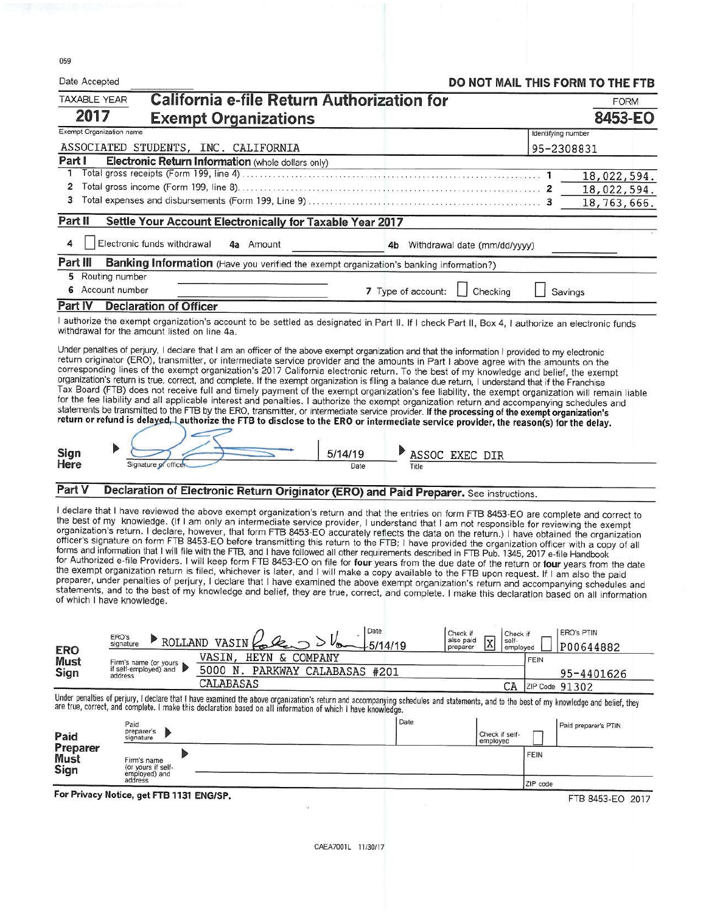059

| Date Accepted            |                                                     |                                                                                                                                                                                                                                                                                                                                                                                                                                                                                                                                                                                                                                                                                                                                                                                                                                                                                                                                                                                                                                                                                                                                                                                                                                                                                                                                                      |                 |                    |                                                 |                    | DO NOT MAIL THIS FORM TO THE FTB |
|--------------------------|-----------------------------------------------------|------------------------------------------------------------------------------------------------------------------------------------------------------------------------------------------------------------------------------------------------------------------------------------------------------------------------------------------------------------------------------------------------------------------------------------------------------------------------------------------------------------------------------------------------------------------------------------------------------------------------------------------------------------------------------------------------------------------------------------------------------------------------------------------------------------------------------------------------------------------------------------------------------------------------------------------------------------------------------------------------------------------------------------------------------------------------------------------------------------------------------------------------------------------------------------------------------------------------------------------------------------------------------------------------------------------------------------------------------|-----------------|--------------------|-------------------------------------------------|--------------------|----------------------------------|
| <b>TAXABLE YEAR</b>      |                                                     | California e-file Return Authorization for                                                                                                                                                                                                                                                                                                                                                                                                                                                                                                                                                                                                                                                                                                                                                                                                                                                                                                                                                                                                                                                                                                                                                                                                                                                                                                           |                 |                    |                                                 |                    | <b>FORM</b>                      |
| 2017                     |                                                     | <b>Exempt Organizations</b>                                                                                                                                                                                                                                                                                                                                                                                                                                                                                                                                                                                                                                                                                                                                                                                                                                                                                                                                                                                                                                                                                                                                                                                                                                                                                                                          |                 |                    |                                                 |                    | 8453-EO                          |
| Exempt Organization name |                                                     |                                                                                                                                                                                                                                                                                                                                                                                                                                                                                                                                                                                                                                                                                                                                                                                                                                                                                                                                                                                                                                                                                                                                                                                                                                                                                                                                                      |                 |                    |                                                 | Identifying number |                                  |
|                          |                                                     | ASSOCIATED STUDENTS, INC. CALIFORNIA                                                                                                                                                                                                                                                                                                                                                                                                                                                                                                                                                                                                                                                                                                                                                                                                                                                                                                                                                                                                                                                                                                                                                                                                                                                                                                                 |                 |                    |                                                 | 95-2308831         |                                  |
| Part I<br>1              |                                                     | Electronic Return Information (whole dollars only)                                                                                                                                                                                                                                                                                                                                                                                                                                                                                                                                                                                                                                                                                                                                                                                                                                                                                                                                                                                                                                                                                                                                                                                                                                                                                                   |                 |                    |                                                 |                    |                                  |
| 2                        |                                                     |                                                                                                                                                                                                                                                                                                                                                                                                                                                                                                                                                                                                                                                                                                                                                                                                                                                                                                                                                                                                                                                                                                                                                                                                                                                                                                                                                      |                 |                    |                                                 |                    | 18,022,594.<br>18,022,594.       |
| 3                        |                                                     |                                                                                                                                                                                                                                                                                                                                                                                                                                                                                                                                                                                                                                                                                                                                                                                                                                                                                                                                                                                                                                                                                                                                                                                                                                                                                                                                                      |                 |                    |                                                 |                    | 18,763,666.                      |
| Part II                  |                                                     | Settle Your Account Electronically for Taxable Year 2017                                                                                                                                                                                                                                                                                                                                                                                                                                                                                                                                                                                                                                                                                                                                                                                                                                                                                                                                                                                                                                                                                                                                                                                                                                                                                             |                 |                    |                                                 |                    |                                  |
| 4                        | Electronic funds withdrawal                         | 4a Amount                                                                                                                                                                                                                                                                                                                                                                                                                                                                                                                                                                                                                                                                                                                                                                                                                                                                                                                                                                                                                                                                                                                                                                                                                                                                                                                                            |                 |                    | 4b Withdrawal date (mm/dd/yyyy)                 |                    |                                  |
| Part III                 |                                                     | Banking Information (Have you verified the exempt organization's banking information?)                                                                                                                                                                                                                                                                                                                                                                                                                                                                                                                                                                                                                                                                                                                                                                                                                                                                                                                                                                                                                                                                                                                                                                                                                                                               |                 |                    |                                                 |                    |                                  |
|                          | 5 Routing number                                    |                                                                                                                                                                                                                                                                                                                                                                                                                                                                                                                                                                                                                                                                                                                                                                                                                                                                                                                                                                                                                                                                                                                                                                                                                                                                                                                                                      |                 |                    |                                                 |                    |                                  |
|                          | 6 Account number                                    |                                                                                                                                                                                                                                                                                                                                                                                                                                                                                                                                                                                                                                                                                                                                                                                                                                                                                                                                                                                                                                                                                                                                                                                                                                                                                                                                                      |                 | 7 Type of account: | Checking                                        |                    | Savings                          |
| Part IV                  | <b>Declaration of Officer</b>                       |                                                                                                                                                                                                                                                                                                                                                                                                                                                                                                                                                                                                                                                                                                                                                                                                                                                                                                                                                                                                                                                                                                                                                                                                                                                                                                                                                      |                 |                    |                                                 |                    |                                  |
|                          | withdrawal for the amount listed on line 4a.        | I authorize the exempt organization's account to be settled as designated in Part II. If I check Part II, Box 4, I authorize an electronic funds                                                                                                                                                                                                                                                                                                                                                                                                                                                                                                                                                                                                                                                                                                                                                                                                                                                                                                                                                                                                                                                                                                                                                                                                     |                 |                    |                                                 |                    |                                  |
| Sign<br>Here             | Signature of office                                 | corresponding lines of the exempt organization's 2017 California electronic return. To the best of my knowledge and belief, the exempt<br>organization's return is true, correct, and complete. If the exempt organization is filing a balance due return, I understand that if the Franchise<br>Tax Board (FTB) does not receive full and timely payment of the exempt organization's fee liability, the exempt organization will remain liable<br>for the fee liability and all applicable interest and penalties. I authorize the exempt organization return and accompanying schedules and<br>statements be transmitted to the FTB by the ERO, transmitter, or intermediate service provider. If the processing of the exempt organization's<br>return or refund is delayed, Lauthorize the FTB to disclose to the ERO or intermediate service provider, the reason(s) for the delay.                                                                                                                                                                                                                                                                                                                                                                                                                                                            | 5/14/19<br>Date | Title              | ASSOC EXEC DIR                                  |                    |                                  |
|                          |                                                     |                                                                                                                                                                                                                                                                                                                                                                                                                                                                                                                                                                                                                                                                                                                                                                                                                                                                                                                                                                                                                                                                                                                                                                                                                                                                                                                                                      |                 |                    |                                                 |                    |                                  |
| Part V                   |                                                     | Declaration of Electronic Return Originator (ERO) and Paid Preparer. See instructions.                                                                                                                                                                                                                                                                                                                                                                                                                                                                                                                                                                                                                                                                                                                                                                                                                                                                                                                                                                                                                                                                                                                                                                                                                                                               |                 |                    |                                                 |                    |                                  |
|                          | of which I have knowledge.                          | I declare that I have reviewed the above exempt organization's return and that the entries on form FTB 8453-EO are complete and correct to<br>the best of my knowledge. (If I am only an intermediate service provider, I understand that I am not responsible for reviewing the exempt<br>organization's return. I declare, however, that form FTB 8453-EO accurately reflects the data on the return.) I have obtained the organization<br>officer's signature on form FTB 8453-EO before transmitting this return to the FTB; I have provided the organization officer with a copy of all<br>forms and information that I will file with the FTB, and I have followed all other requirements described in FTB Pub. 1345, 2017 e-file Handbook<br>for Authorized e-file Providers. I will keep form FTB 8453-EO on file for four years from the due date of the return or four years from the date<br>the exempt organization return is filed, whichever is later, and I will make a copy available to the FTB upon request. If I am also the paid<br>preparer, under penalties of perjury, I declare that I have examined the above exempt organization's return and accompanying schedules and<br>statements, and to the best of my knowledge and belief, they are true, correct, and complete. I make this declaration based on all information |                 |                    |                                                 |                    |                                  |
|                          | ERO's                                               |                                                                                                                                                                                                                                                                                                                                                                                                                                                                                                                                                                                                                                                                                                                                                                                                                                                                                                                                                                                                                                                                                                                                                                                                                                                                                                                                                      | Date            |                    | Check if<br>Check if                            |                    | <b>ERO's PTIN</b>                |
| <b>ERO</b>               | signature                                           | ROLLAND VASIN                                                                                                                                                                                                                                                                                                                                                                                                                                                                                                                                                                                                                                                                                                                                                                                                                                                                                                                                                                                                                                                                                                                                                                                                                                                                                                                                        | 5/14/19         |                    | also paid<br>self-<br>X<br>preparer<br>employed |                    | P00644882                        |
| <b>Must</b><br>Sign      | Firm's name (or yours<br>if self-employed) and      | VASIN,<br>HEYN & COMPANY<br>5000 N. PARKWAY CALABASAS #201                                                                                                                                                                                                                                                                                                                                                                                                                                                                                                                                                                                                                                                                                                                                                                                                                                                                                                                                                                                                                                                                                                                                                                                                                                                                                           |                 |                    |                                                 | <b>FEIN</b>        |                                  |
|                          | address                                             | CALABASAS                                                                                                                                                                                                                                                                                                                                                                                                                                                                                                                                                                                                                                                                                                                                                                                                                                                                                                                                                                                                                                                                                                                                                                                                                                                                                                                                            |                 |                    | СA                                              | ZIP Code 91302     | 95-4401626                       |
|                          |                                                     | Under penalties of perjury, I declare that I have examined the above organization's return and accompanying schedules and statements, and to the best of my knowledge and belief, they<br>are true, correct, and complete. I make this declaration based on all information of which I have knowledge.                                                                                                                                                                                                                                                                                                                                                                                                                                                                                                                                                                                                                                                                                                                                                                                                                                                                                                                                                                                                                                               |                 |                    |                                                 |                    |                                  |
| Paid                     | Paid<br>preparer's<br>signature                     |                                                                                                                                                                                                                                                                                                                                                                                                                                                                                                                                                                                                                                                                                                                                                                                                                                                                                                                                                                                                                                                                                                                                                                                                                                                                                                                                                      |                 | Date               | Check if self-                                  |                    | Paid preparer's PTIN             |
| Preparer                 |                                                     |                                                                                                                                                                                                                                                                                                                                                                                                                                                                                                                                                                                                                                                                                                                                                                                                                                                                                                                                                                                                                                                                                                                                                                                                                                                                                                                                                      |                 |                    | employed                                        |                    |                                  |
|                          |                                                     |                                                                                                                                                                                                                                                                                                                                                                                                                                                                                                                                                                                                                                                                                                                                                                                                                                                                                                                                                                                                                                                                                                                                                                                                                                                                                                                                                      |                 |                    |                                                 | <b>FEIN</b>        |                                  |
| Must<br>Sign             | Firm's name<br>(or yours if self-<br>employed) and  |                                                                                                                                                                                                                                                                                                                                                                                                                                                                                                                                                                                                                                                                                                                                                                                                                                                                                                                                                                                                                                                                                                                                                                                                                                                                                                                                                      |                 |                    |                                                 |                    |                                  |
|                          | address<br>For Privacy Notice, get FTB 1131 ENG/SP. |                                                                                                                                                                                                                                                                                                                                                                                                                                                                                                                                                                                                                                                                                                                                                                                                                                                                                                                                                                                                                                                                                                                                                                                                                                                                                                                                                      |                 |                    |                                                 | ZIP code           |                                  |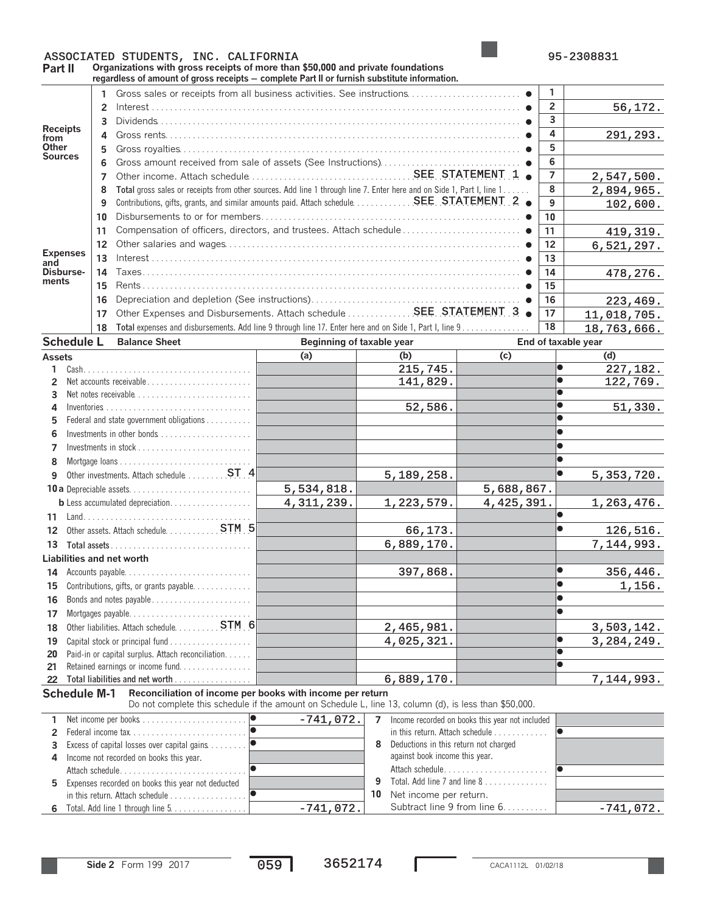## ASSOCIATED STUDENTS, INC. CALIFORNIA 195-2308831

**Part II Organizations with gross receipts of more than \$50,000 and private foundations regardless of amount of gross receipts** ' **complete Part II or furnish substitute information.**

|                         |                                                                        |                                                                                                                         | regaruless of amount of gross receipts — complete r art if or furnism substitute imormation.                          |            |             |                              |                              |                |                     |
|-------------------------|------------------------------------------------------------------------|-------------------------------------------------------------------------------------------------------------------------|-----------------------------------------------------------------------------------------------------------------------|------------|-------------|------------------------------|------------------------------|----------------|---------------------|
|                         |                                                                        |                                                                                                                         |                                                                                                                       |            |             |                              |                              | 1              |                     |
|                         |                                                                        | $\overline{2}$                                                                                                          |                                                                                                                       |            |             |                              |                              | $\overline{2}$ | 56,172.             |
|                         |                                                                        |                                                                                                                         |                                                                                                                       |            |             |                              |                              | 3              |                     |
| <b>Receipts</b>         |                                                                        | 3                                                                                                                       |                                                                                                                       |            |             |                              |                              | 4              |                     |
| from                    |                                                                        | 4                                                                                                                       |                                                                                                                       |            |             |                              |                              |                | 291,293.            |
| Other<br><b>Sources</b> |                                                                        | 5                                                                                                                       |                                                                                                                       |            |             |                              |                              | 5              |                     |
|                         |                                                                        | 6                                                                                                                       |                                                                                                                       |            |             |                              |                              | 6              |                     |
|                         |                                                                        | 7                                                                                                                       |                                                                                                                       |            |             |                              |                              | $\overline{7}$ | 2,547,500.          |
|                         |                                                                        | 8                                                                                                                       | Total gross sales or receipts from other sources. Add line 1 through line 7. Enter here and on Side 1, Part I, line 1 | 8          | 2,894,965.  |                              |                              |                |                     |
|                         |                                                                        | 9                                                                                                                       |                                                                                                                       |            |             |                              |                              |                | 102,600.            |
|                         |                                                                        | 10                                                                                                                      |                                                                                                                       | 10         |             |                              |                              |                |                     |
|                         |                                                                        | 11                                                                                                                      |                                                                                                                       | 11         | 419,319.    |                              |                              |                |                     |
|                         |                                                                        | $12 \overline{ }$                                                                                                       |                                                                                                                       |            |             |                              |                              |                | 6,521,297.          |
| <b>Expenses</b>         |                                                                        | 13                                                                                                                      |                                                                                                                       | 12<br>13   |             |                              |                              |                |                     |
| and<br>Disburse-        |                                                                        | 14                                                                                                                      |                                                                                                                       |            |             |                              |                              | 14             |                     |
| ments                   |                                                                        |                                                                                                                         |                                                                                                                       |            |             |                              |                              |                | 478,276.            |
|                         |                                                                        | 15                                                                                                                      |                                                                                                                       |            |             |                              |                              | 15             |                     |
|                         |                                                                        | 16                                                                                                                      |                                                                                                                       |            |             |                              |                              | 16             | 223, 469.           |
|                         |                                                                        | 17                                                                                                                      | Other Expenses and Disbursements. Attach schedule  SEE STATEMENT 3 .                                                  |            |             |                              |                              | 17             | 11,018,705.         |
|                         |                                                                        | 18                                                                                                                      | Total expenses and disbursements. Add line 9 through line 17. Enter here and on Side 1, Part I, line 9                |            |             |                              |                              | 18             | 18,763,666.         |
|                         | <b>Schedule L</b>                                                      |                                                                                                                         | <b>Balance Sheet</b>                                                                                                  |            |             | Beginning of taxable year    |                              |                | End of taxable year |
| <b>Assets</b>           |                                                                        |                                                                                                                         |                                                                                                                       | (a)        |             | (b)                          | (c)                          |                | (d)                 |
| 1                       |                                                                        |                                                                                                                         |                                                                                                                       |            |             | $\overline{215,745}$ .       |                              | $\bullet$      | 227,182.            |
| 2                       |                                                                        |                                                                                                                         | Net accounts receivable                                                                                               |            |             | 141,829.                     |                              | $\bullet$      | 122,769.            |
| 3                       |                                                                        |                                                                                                                         | Net notes receivable                                                                                                  |            |             |                              |                              |                |                     |
| 4                       |                                                                        |                                                                                                                         |                                                                                                                       |            |             | 52,586.                      |                              | $\bullet$      | 51,330.             |
| 5                       |                                                                        |                                                                                                                         | Federal and state government obligations                                                                              |            |             |                              |                              |                |                     |
|                         |                                                                        |                                                                                                                         |                                                                                                                       |            |             |                              |                              |                |                     |
| 7                       |                                                                        |                                                                                                                         |                                                                                                                       |            |             |                              |                              |                |                     |
| 8                       |                                                                        |                                                                                                                         |                                                                                                                       |            |             |                              |                              |                |                     |
|                         |                                                                        |                                                                                                                         |                                                                                                                       |            |             | 5,189,258.                   |                              |                | 5, 353, 720.        |
|                         | Other investments. Attach schedule 4<br>9                              |                                                                                                                         |                                                                                                                       |            |             |                              |                              |                |                     |
|                         |                                                                        |                                                                                                                         |                                                                                                                       | 5,534,818. |             |                              | 5,688,867.                   |                |                     |
|                         |                                                                        |                                                                                                                         | <b>b</b> Less accumulated depreciation.                                                                               | 4,311,239. |             | 1,223,579.                   | 4, 425, 391.                 |                | 1,263,476.          |
| 11                      |                                                                        |                                                                                                                         |                                                                                                                       |            |             |                              |                              |                |                     |
| 12                      |                                                                        |                                                                                                                         | Other assets. Attach schedule. 5                                                                                      |            |             | 66,173.                      |                              | $\bullet$      | 126,516.            |
| 13                      | Total assets $\ldots \ldots \ldots \ldots \ldots \ldots \ldots \ldots$ |                                                                                                                         |                                                                                                                       |            |             | 6,889,170.                   |                              |                | 7,144,993.          |
|                         |                                                                        |                                                                                                                         | Liabilities and net worth                                                                                             |            |             |                              |                              |                |                     |
| 14                      |                                                                        |                                                                                                                         |                                                                                                                       |            |             | 397,868.                     |                              | $\bullet$      | 356,446.            |
|                         |                                                                        |                                                                                                                         | 15 Contributions, gifts, or grants payable.                                                                           |            |             |                              |                              | $\bullet$      | 1,156.              |
| 16                      |                                                                        |                                                                                                                         | Bonds and notes payable                                                                                               |            |             |                              |                              |                |                     |
| 17                      |                                                                        |                                                                                                                         |                                                                                                                       |            |             |                              |                              |                |                     |
| 18                      |                                                                        |                                                                                                                         | Other liabilities. Attach schedule. 5TM 6                                                                             |            |             | 2,465,981.                   |                              |                | 3,503,142.          |
| 19                      |                                                                        |                                                                                                                         |                                                                                                                       |            |             | 4,025,321.                   |                              |                | 3, 284, 249.        |
| 20                      |                                                                        |                                                                                                                         | Paid-in or capital surplus. Attach reconciliation.                                                                    |            |             |                              |                              | $\bullet$      |                     |
| 21                      |                                                                        |                                                                                                                         | Retained earnings or income fund                                                                                      |            |             |                              |                              | $\bullet$      |                     |
|                         |                                                                        |                                                                                                                         | 22 Total liabilities and net worth                                                                                    |            |             | 6,889,170.                   |                              |                | 7,144,993.          |
|                         | <b>Schedule M-1</b>                                                    |                                                                                                                         | Reconciliation of income per books with income per return                                                             |            |             |                              |                              |                |                     |
|                         |                                                                        |                                                                                                                         | Do not complete this schedule if the amount on Schedule L, line 13, column (d), is less than \$50,000.                |            |             |                              |                              |                |                     |
|                         |                                                                        |                                                                                                                         |                                                                                                                       |            |             |                              |                              |                |                     |
| 1                       |                                                                        |                                                                                                                         | $-741,072.$<br>Income recorded on books this year not included<br>$\overline{7}$                                      |            |             |                              |                              | $\bullet$      |                     |
| $\overline{2}$          |                                                                        | in this return. Attach schedule                                                                                         |                                                                                                                       |            |             |                              |                              |                |                     |
| 3                       |                                                                        | 8<br>Deductions in this return not charged<br>against book income this year.<br>Income not recorded on books this year. |                                                                                                                       |            |             |                              |                              |                |                     |
| 4                       |                                                                        |                                                                                                                         | $\bullet$<br>Attach schedule<br>Attach schedule                                                                       |            |             |                              |                              |                |                     |
|                         |                                                                        |                                                                                                                         |                                                                                                                       |            |             | 9                            | Total. Add line 7 and line 8 |                |                     |
| 5.                      |                                                                        |                                                                                                                         | Expenses recorded on books this year not deducted                                                                     |            |             | Net income per return.<br>10 |                              |                |                     |
|                         |                                                                        |                                                                                                                         |                                                                                                                       |            |             |                              | Subtract line 9 from line 6. |                |                     |
|                         |                                                                        |                                                                                                                         | 6 Total. Add line 1 through line 5.                                                                                   |            | $-741,072.$ |                              |                              |                | $-741,072.$         |

Total. Add line 1 through line 5 Subtract line 9 from line 6. . . . . . . . . . **6** . . . . . . . . . . . . . . . . .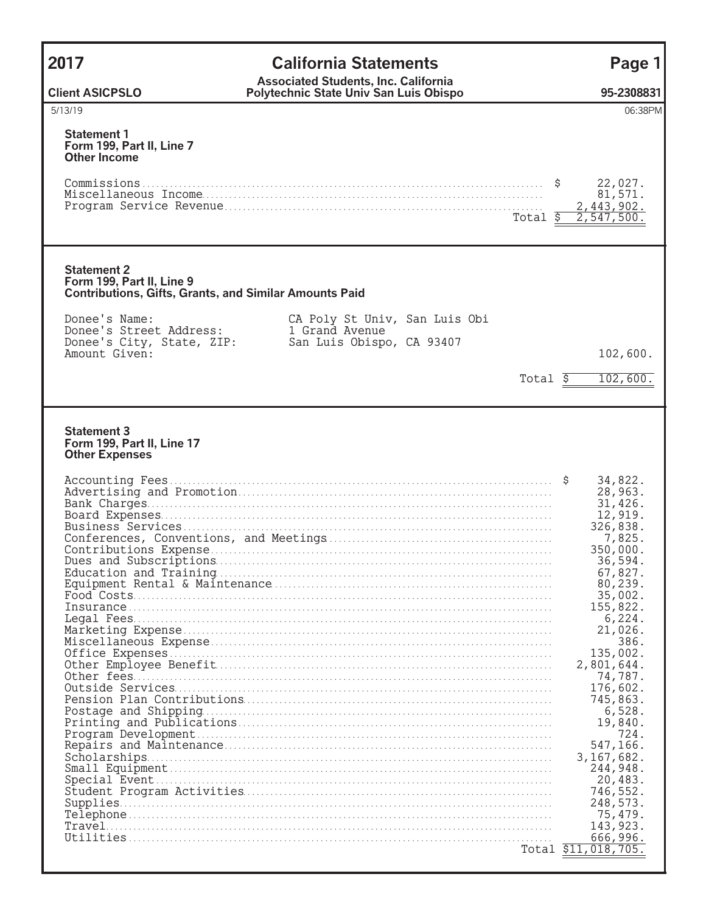| 2017                                                                                                             | <b>California Statements</b>                                                          | Page 1                                                                                                                                                                                                                                                                                                                                           |
|------------------------------------------------------------------------------------------------------------------|---------------------------------------------------------------------------------------|--------------------------------------------------------------------------------------------------------------------------------------------------------------------------------------------------------------------------------------------------------------------------------------------------------------------------------------------------|
| <b>Client ASICPSLO</b>                                                                                           | <b>Associated Students, Inc. California</b><br>Polytechnic State Univ San Luis Obispo | 95-2308831                                                                                                                                                                                                                                                                                                                                       |
| 5/13/19                                                                                                          |                                                                                       | 06:38PM                                                                                                                                                                                                                                                                                                                                          |
| <b>Statement 1</b><br>Form 199, Part II, Line 7<br><b>Other Income</b>                                           |                                                                                       | 22,027.<br>81,571.                                                                                                                                                                                                                                                                                                                               |
|                                                                                                                  | Total \$                                                                              | 2,443,902.<br>2,547,500.                                                                                                                                                                                                                                                                                                                         |
| <b>Statement 2</b><br>Form 199, Part II, Line 9<br><b>Contributions, Gifts, Grants, and Similar Amounts Paid</b> |                                                                                       |                                                                                                                                                                                                                                                                                                                                                  |
| Donee's Name:<br>Donee's Street Address:<br>Donee's City, State, ZIP:<br>Amount Given:                           | CA Poly St Univ, San Luis Obi<br>1 Grand Avenue<br>San Luis Obispo, CA 93407          | 102,600.                                                                                                                                                                                                                                                                                                                                         |
|                                                                                                                  | $Total \sqrt{5}$                                                                      | 102,600.                                                                                                                                                                                                                                                                                                                                         |
| <b>Statement 3</b><br>Form 199, Part II, Line 17<br><b>Other Expenses</b>                                        |                                                                                       | 34,822.<br>28,963.<br>31,426.<br>12,919.<br>326,838.<br>7,825.<br>350,000.<br>36,594.<br>67,827.<br>80,239.<br>35,002.<br>155,822.<br>6,224.<br>21,026.<br>386.<br>135,002.<br>2,801,644.<br>74,787.<br>176,602.<br>745,863.<br>6,528.<br>19,840.<br>724.<br>547,166.<br>3, 167, 682.<br>244,948.<br>20,483.<br>746,552.<br>248,573.<br>75, 479. |
|                                                                                                                  |                                                                                       | 143, 923.<br>666,996.<br>Total \$11,018,705.                                                                                                                                                                                                                                                                                                     |